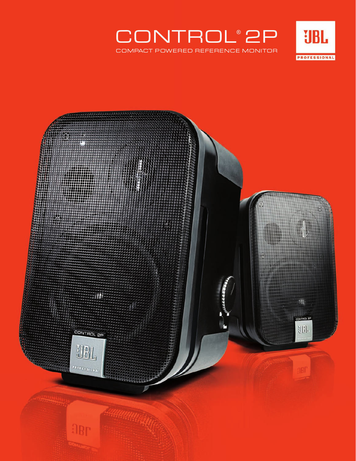